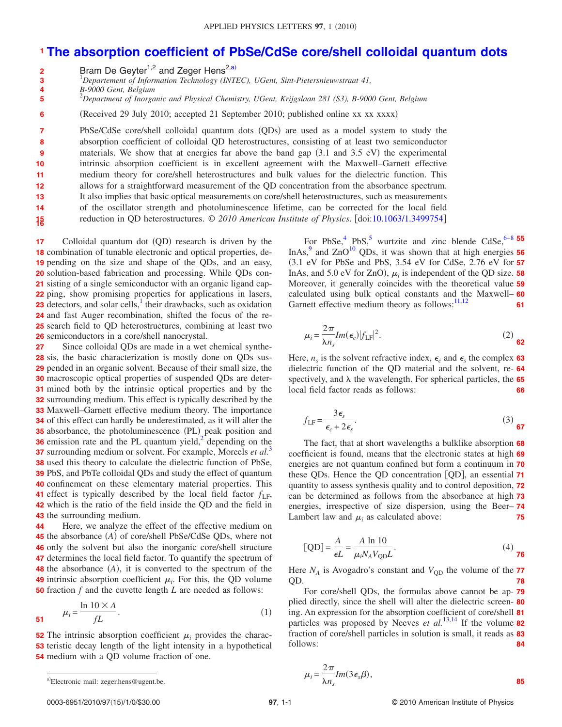## **[The absorption coefficient of PbSe/CdSe core/shell colloidal quantum dots](http://dx.doi.org/10.1063/1.3499754) 1**

Bram De Geyter<sup>1,2</sup> and Zeger Hens<sup>2[,a](#page-0-0))</sup> **2**

1 *Departement of Information Technology (INTEC), UGent, Sint-Pietersnieuwstraat 41,* **3**

*B-9000 Gent, Belgium* **4**

2 *Department of Inorganic and Physical Chemistry, UGent, Krijgslaan 281 (S3), B-9000 Gent, Belgium* **5**

(Received 29 July 2010; accepted 21 September 2010; published online xx xx xxxx) **6**

PbSe/CdSe core/shell colloidal quantum dots (QDs) are used as a model system to study the absorption coefficient of colloidal QD heterostructures, consisting of at least two semiconductor materials. We show that at energies far above the band gap  $(3.1 \text{ and } 3.5 \text{ eV})$  the experimental intrinsic absorption coefficient is in excellent agreement with the Maxwell–Garnett effective medium theory for core/shell heterostructures and bulk values for the dielectric function. This allows for a straightforward measurement of the QD concentration from the absorbance spectrum. It also implies that basic optical measurements on core/shell heterostructures, such as measurements of the oscillator strength and photoluminescence lifetime, can be corrected for the local field reduction in QD heterostructures. © *2010 American Institute of Physics*. doi[:10.1063/1.3499754](http://dx.doi.org/10.1063/1.3499754) **7 8 9 10 11 12 13 14 1516**

Colloidal quantum dot (QD) research is driven by the 18 combination of tunable electronic and optical properties, de-19 pending on the size and shape of the QDs, and an easy, 20 solution-based fabrication and processing. While QDs con-**21** sisting of a single semiconductor with an organic ligand cap-**22** ping, show promising properties for applications in lasers, **23** detectors, and solar cells,  $\frac{1}{1}$  their drawbacks, such as oxidation 24 and fast Auger recombination, shifted the focus of the re-25 search field to QD heterostructures, combining at least two 26 semiconductors in a core/shell nanocrystal. **17**

Since colloidal QDs are made in a wet chemical synthe- sis, the basic characterization is mostly done on QDs sus- pended in an organic solvent. Because of their small size, the macroscopic optical properties of suspended QDs are deter-**30** mined both by the intrinsic optical properties and by the surrounding medium. This effect is typically described by the Maxwell–Garnett effective medium theory. The importance of this effect can hardly be underestimated, as it will alter the absorbance, the photoluminescence (PL) peak position and emission rate and the PL quantum yield, $2^2$  depending on the **7** surrounding medium or solvent. For example, Moreels *et al.*<sup>3</sup> used this theory to calculate the dielectric function of PbSe, PbS, and PbTe colloidal QDs and study the effect of quantum **39** 40 confinement on these elementary material properties. This effect is typically described by the local field factor  $f_{LF}$ , which is the ratio of the field inside the QD and the field in **42** 43 the surrounding medium. **27**

Here, we analyze the effect of the effective medium on 45 the absorbance (A) of core/shell PbSe/CdSe QDs, where not 46 only the solvent but also the inorganic core/shell structure 47 determines the local field factor. To quantify the spectrum of  $48$  the absorbance  $(A)$ , it is converted to the spectrum of the **49** intrinsic absorption coefficient  $\mu_i$ . For this, the QD volume **50** fraction  $f$  and the cuvette length  $L$  are needed as follows: **44**

<span id="page-0-1"></span>
$$
\mu_i = \frac{\ln 10 \times A}{fL}.\tag{1}
$$

<span id="page-0-0"></span>**52** The intrinsic absorption coefficient  $\mu_i$  provides the charac-**53** teristic decay length of the light intensity in a hypothetical **54** medium with a QD volume fraction of one.

For PbSe,<sup>4</sup> PbS,<sup>5</sup> wurtzite and zinc blende CdSe,<sup>6[–8](#page-2-6)</sup> 55 InAs, $\frac{9}{2}$  and  $ZnO<sup>10</sup>$  QDs, it was shown that at high energies **56** -3.1 eV for PbSe and PbS, 3.54 eV for CdSe, 2.76 eV for **57** InAs, and  $5.0 \text{ eV}$  for ZnO),  $\mu_i$  is independent of the QD size. **58** Moreover, it generally coincides with the theoretical value **59** calculated using bulk optical constants and the Maxwell– **60** Garnett effective medium theory as follows: $\frac{11,12}{2}$  $\frac{11,12}{2}$  $\frac{11,12}{2}$ **61**

$$
\mu_i = \frac{2\pi}{\lambda n_s} Im(\epsilon_c) |f_{\text{LF}}|^2.
$$
 (2)

Here,  $n_s$  is the solvent refractive index,  $\epsilon_c$  and  $\epsilon_s$  the complex 63 dielectric function of the QD material and the solvent, re-**64** spectively, and  $\lambda$  the wavelength. For spherical particles, the  $65$ local field factor reads as follows: **66**

$$
f_{\rm LF} = \frac{3\epsilon_s}{\epsilon_c + 2\epsilon_s}.\tag{3}
$$

The fact, that at short wavelengths a bulklike absorption **68** coefficient is found, means that the electronic states at high **69** energies are not quantum confined but form a continuum in **70** these QDs. Hence the QD concentration QD, an essential **71** quantity to assess synthesis quality and to control deposition, **72** can be determined as follows from the absorbance at high **73** energies, irrespective of size dispersion, using the Beer– **74** Lambert law and  $\mu_i$  as calculated above: **75**

<span id="page-0-2"></span>
$$
[QD] = \frac{A}{\epsilon L} = \frac{A \ln 10}{\mu_i N_A V_{QD} L}.
$$
 (4)

Here  $N_A$  is Avogadro's constant and  $V_{\text{QD}}$  the volume of the **77** QD. **78**

For core/shell QDs, the formulas above cannot be ap-**79** plied directly, since the shell will alter the dielectric screen-**80** ing. An expression for the absorption coefficient of core/shell **81** particles was proposed by Neeves *et al.*[13](#page-2-11)[,14](#page-2-12) If the volume **82** fraction of core/shell particles in solution is small, it reads as **83** follows: **84**

$$
\mu_i = \frac{2\pi}{\lambda n_s} Im(3\epsilon_s \beta),
$$
\n<sup>a)</sup>Electronic mail: zeger.hens@ugent.be. 85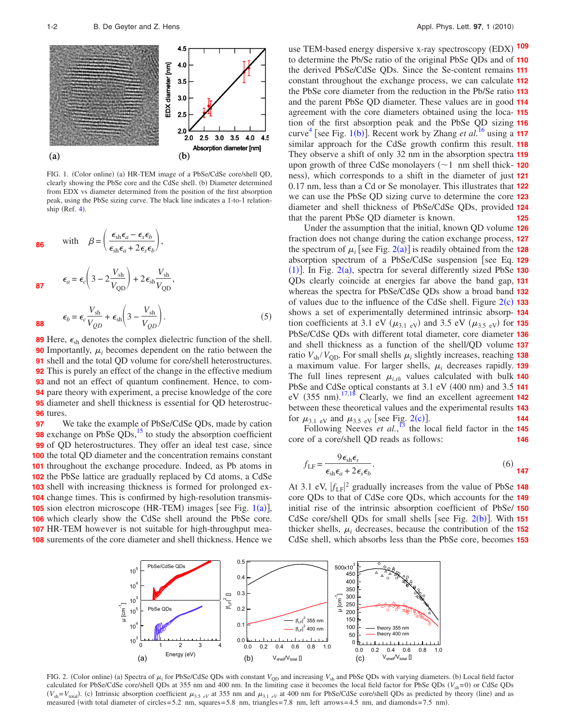<span id="page-1-0"></span>

FIG. 1. (Color online) (a) HR-TEM image of a PbSe/CdSe core/shell QD, clearly showing the PbSe core and the CdSe shell. (b) Diameter determined from EDX vs diameter determined from the position of the first absorption peak, using the PbSe sizing curve. The black line indicates a 1-to-1 relationship (Ref.  $4$ ).

86 with 
$$
\beta = \left(\frac{\epsilon_{sh}\epsilon_a - \epsilon_s \epsilon_b}{\epsilon_{sh}\epsilon_a + 2\epsilon_s \epsilon_b}\right)
$$
,  
\n87  $\epsilon_a = \epsilon_c \left(3 - 2\frac{V_{sh}}{V_{QD}}\right) + 2\epsilon_{sh}\frac{V_{sh}}{V_{QD}}$ ,  
\n88  $\epsilon_b = \epsilon_c \frac{V_{sh}}{V_{QD}} + \epsilon_{sh} \left(3 - \frac{V_{sh}}{V_{QD}}\right)$ . (5)

 Here,  $\epsilon_{\rm sh}$  denotes the complex dielectric function of the shell. Importantly,  $\mu_i$  becomes dependent on the ratio between the 91 shell and the total QD volume for core/shell heterostructures. This is purely an effect of the change in the effective medium and not an effect of quantum confinement. Hence, to com- pare theory with experiment, a precise knowledge of the core diameter and shell thickness is essential for QD heterostruc-**96** tures.

We take the example of PbSe/CdSe QDs, made by cation **98** exchange on PbSe QDs,<sup>15</sup> to study the absorption coefficient **99** of QD heterostructures. They offer an ideal test case, since **100** the total QD diameter and the concentration remains constant 101 throughout the exchange procedure. Indeed, as Pb atoms in 102 the PbSe lattice are gradually replaced by Cd atoms, a CdSe 103 shell with increasing thickness is formed for prolonged ex-104 change times. This is confirmed by high-resolution transmis-**[1](#page-1-0)05** sion electron microscope (HR-TEM) images [see Fig. 1(a)], 106 which clearly show the CdSe shell around the PbSe core. 107 HR-TEM however is not suitable for high-throughput mea-108 surements of the core diameter and shell thickness. Hence we **97**

use TEM-based energy dispersive x-ray spectroscopy (EDX) to determine the Pb/Se ratio of the original PbSe QDs and of **110** the derived PbSe/CdSe QDs. Since the Se-content remains **111** constant throughout the exchange process, we can calculate **112** the PbSe core diameter from the reduction in the Pb/Se ratio **113** and the parent PbSe QD diameter. These values are in good **114** agreement with the core diameters obtained using the loca-**115** tion of the first absorption peak and the PbSe QD sizing **116** curve<sup>[4](#page-2-3)</sup> [see Fig. [1](#page-1-0)(b)]. Recent work by Zhang *et al.*<sup>[16](#page-2-14)</sup> using a **117** similar approach for the CdSe growth confirm this result. **118** They observe a shift of only 32 nm in the absorption spectra **119** upon growth of three CdSe monolayers  $(-1)$  nm shell thick- 120 ness, which corresponds to a shift in the diameter of just **121** 0.17 nm, less than a Cd or Se monolayer. This illustrates that **122** we can use the PbSe QD sizing curve to determine the core **123** diameter and shell thickness of PbSe/CdSe QDs, provided **124** that the parent PbSe QD diameter is known. **109 125**

Under the assumption that the initial, known QD volume **126** fraction does not change during the cation exchange process, **127** the spectrum of  $\mu_i$  [see Fig. [2](#page-1-1)(a)] is readily obtained from the **128** absorption spectrum of a PbSe/CdSe suspension [see Eq. 129 ([1](#page-0-1))]. In Fig. [2](#page-1-1)(a), spectra for several differently sized PbSe 130 QDs clearly coincide at energies far above the band gap, **131** whereas the spectra for PbSe/CdSe QDs show a broad band **132** of values due to the influence of the CdSe shell. Figure  $2(c)$  $2(c)$  133 shows a set of experimentally determined intrinsic absorp-**134** tion coefficients at 3.1 eV  $(\mu_{3.1 \text{ eV}})$  and 3.5 eV  $(\mu_{3.5 \text{ eV}})$  for **135** PbSe/CdSe QDs with different total diameter, core diameter **136** and shell thickness as a function of the shell/QD volume **137** ratio  $V_{\text{sh}}/V_{\text{QD}}$ . For small shells  $\mu_i$  slightly increases, reaching **138** a maximum value. For larger shells,  $\mu_i$  decreases rapidly. **139** The full lines represent  $\mu_{i,th}$  values calculated with bulk **140** PbSe and CdSe optical constants at 3.1 eV (400 nm) and 3.5 141 eV (355 nm).<sup>[17,](#page-2-15)[18](#page-2-16)</sup> Clearly, we find an excellent agreement **142** between these theoretical values and the experimental results **143** for  $\mu_{3.1 \text{ eV}}$  and  $\mu_{3.5 \text{ eV}}$  [see Fig. [2](#page-1-1)(c)]. **144**

Following Neeves *et al.*<sup>[13](#page-2-11)</sup> the local field factor in the **145** core of a core/shell QD reads as follows: **146**

$$
f_{\rm LF} = \frac{9\epsilon_{\rm sh}\epsilon_s}{\epsilon_{\rm sh}\epsilon_a + 2\epsilon_s\epsilon_b}.\tag{6}
$$

At 3.1 eV,  $|f_{LF}|^2$  gradually increases from the value of PbSe 148 core QDs to that of CdSe core QDs, which accounts for the **149** initial rise of the intrinsic absorption coefficient of PbSe/ **150** CdSe core/shell QDs for small shells [see Fig.  $2(b)$  $2(b)$ ]. With 151 thicker shells,  $\mu_i$  decreases, because the contribution of the **152** CdSe shell, which absorbs less than the PbSe core, becomes **153**

<span id="page-1-1"></span>

FIG. 2. (Color online) (a) Spectra of  $\mu_i$  for PbSe/CdSe QDs with constant  $V_{\text{OD}}$  and increasing  $V_{\text{sh}}$  and PbSe QDs with varying diameters. (b) Local field factor calculated for PbSe/CdSe core/shell QDs at 355 nm and 400 nm. In the limiting case it becomes the local field factor for PbSe QDs  $(V_{sh}=0)$  or CdSe QDs  $(V_{sh} = V_{total})$ . (c) Intrinsic absorption coefficient  $\mu_{3.5 \text{ eV}}$  at 355 nm and  $\mu_{3.1 \text{ eV}}$  at 400 nm for PbSe/CdSe core/shell QDs as predicted by theory (line) and as measured (with total diameter of circles= 5.2 nm, squares= 5.8 nm, triangles= 7.8 nm, left arrows= 4.5 nm, and diamonds= 7.5 nm).